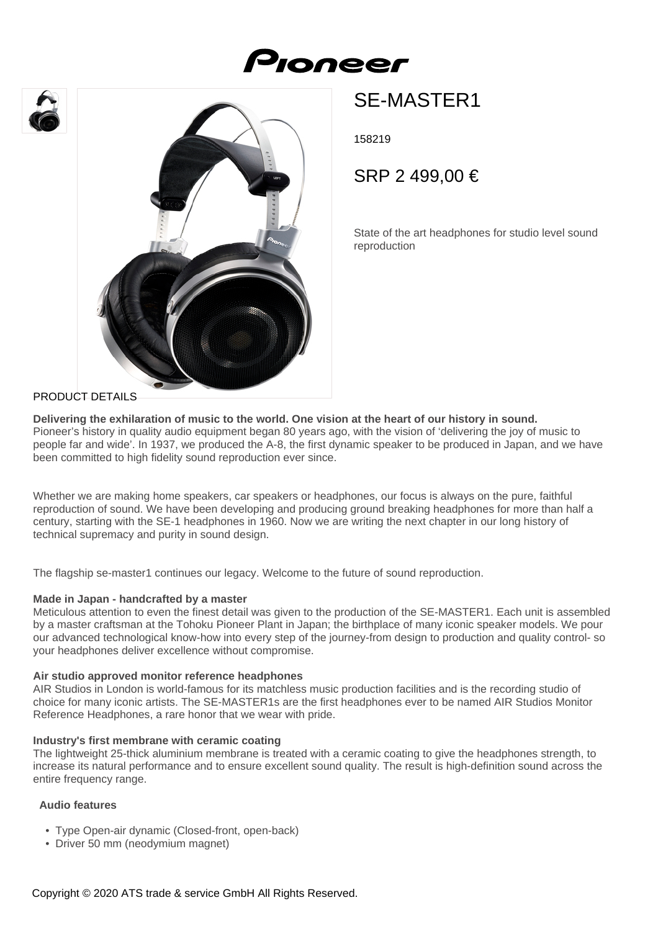





# SE-MASTER1

158219

SRP 2 499,00 €

State of the art headphones for studio level sound reproduction

### PRODUCT DETAILS

**Delivering the exhilaration of music to the world. One vision at the heart of our history in sound.** Pioneer's history in quality audio equipment began 80 years ago, with the vision of 'delivering the joy of music to people far and wide'. In 1937, we produced the A-8, the first dynamic speaker to be produced in Japan, and we have been committed to high fidelity sound reproduction ever since.

Whether we are making home speakers, car speakers or headphones, our focus is always on the pure, faithful reproduction of sound. We have been developing and producing ground breaking headphones for more than half a century, starting with the SE-1 headphones in 1960. Now we are writing the next chapter in our long history of technical supremacy and purity in sound design.

The flagship se-master1 continues our legacy. Welcome to the future of sound reproduction.

#### **Made in Japan - handcrafted by a master**

Meticulous attention to even the finest detail was given to the production of the SE-MASTER1. Each unit is assembled by a master craftsman at the Tohoku Pioneer Plant in Japan; the birthplace of many iconic speaker models. We pour our advanced technological know-how into every step of the journey-from design to production and quality control- so your headphones deliver excellence without compromise.

#### **Air studio approved monitor reference headphones**

AIR Studios in London is world-famous for its matchless music production facilities and is the recording studio of choice for many iconic artists. The SE-MASTER1s are the first headphones ever to be named AIR Studios Monitor Reference Headphones, a rare honor that we wear with pride.

#### **Industry's first membrane with ceramic coating**

The lightweight 25-thick aluminium membrane is treated with a ceramic coating to give the headphones strength, to increase its natural performance and to ensure excellent sound quality. The result is high-definition sound across the entire frequency range.

## **Audio features**

- Type Open-air dynamic (Closed-front, open-back)
- Driver 50 mm (neodymium magnet)